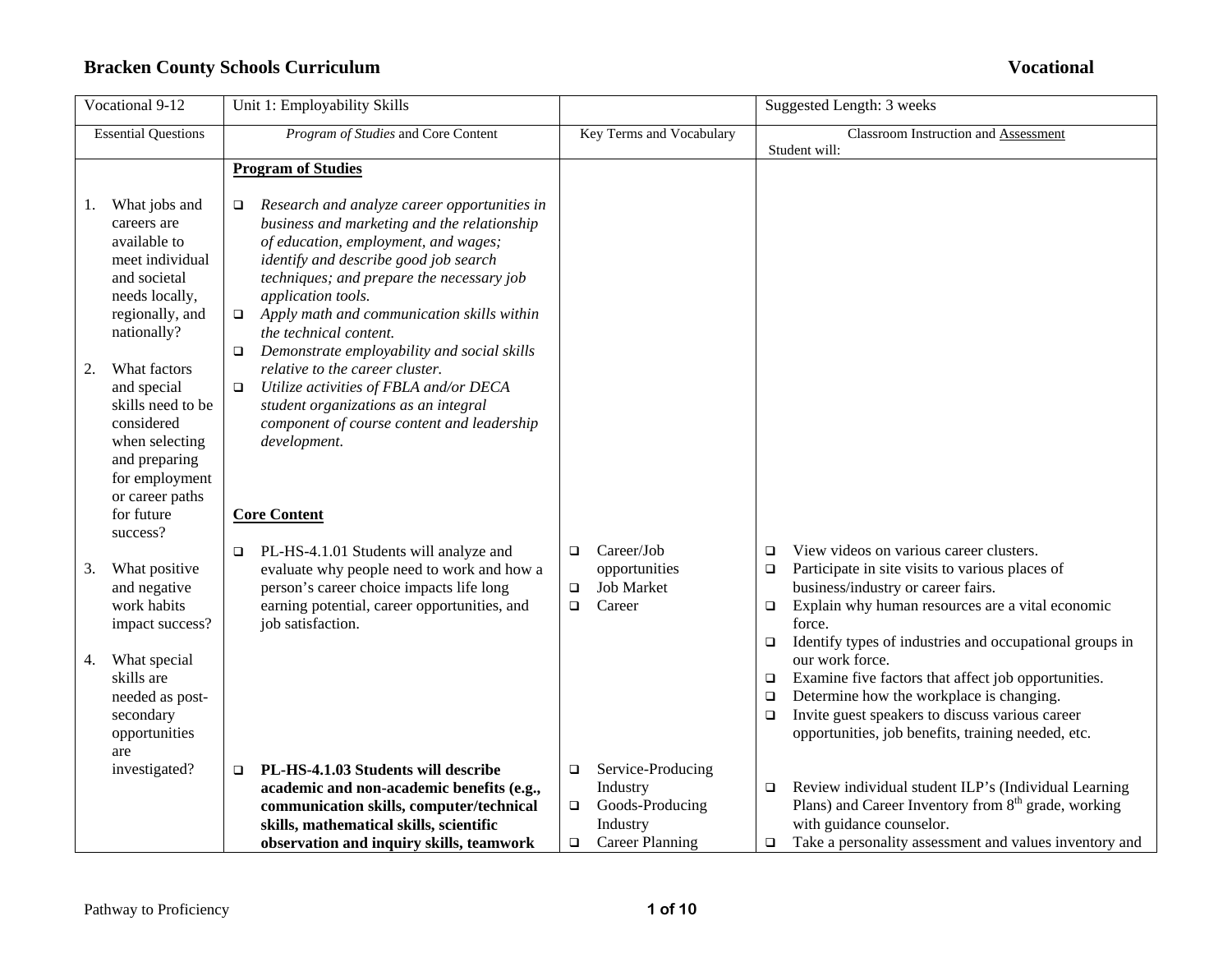|    | Vocational 9-12                                                                                                                                      | Unit 1: Employability Skills                                                                                                                                                                                                                                                                                                                                                                |                            |                                                                                        |                                      | Suggested Length: 3 weeks                                                                                                                                                                                                                                 |
|----|------------------------------------------------------------------------------------------------------------------------------------------------------|---------------------------------------------------------------------------------------------------------------------------------------------------------------------------------------------------------------------------------------------------------------------------------------------------------------------------------------------------------------------------------------------|----------------------------|----------------------------------------------------------------------------------------|--------------------------------------|-----------------------------------------------------------------------------------------------------------------------------------------------------------------------------------------------------------------------------------------------------------|
|    | <b>Essential Questions</b>                                                                                                                           | Program of Studies and Core Content                                                                                                                                                                                                                                                                                                                                                         |                            | Key Terms and Vocabulary                                                               |                                      | Classroom Instruction and Assessment<br>Student will:                                                                                                                                                                                                     |
|    |                                                                                                                                                      | <b>Program of Studies</b>                                                                                                                                                                                                                                                                                                                                                                   |                            |                                                                                        |                                      |                                                                                                                                                                                                                                                           |
| I. | What jobs and<br>careers are<br>available to<br>meet individual<br>and societal<br>needs locally,<br>regionally, and<br>nationally?                  | Research and analyze career opportunities in<br>□<br>business and marketing and the relationship<br>of education, employment, and wages;<br>identify and describe good job search<br>techniques; and prepare the necessary job<br>application tools.<br>Apply math and communication skills within<br>$\Box$<br>the technical content.<br>Demonstrate employability and social skills<br>O. |                            |                                                                                        |                                      |                                                                                                                                                                                                                                                           |
| 2. | What factors<br>and special<br>skills need to be<br>considered<br>when selecting<br>and preparing<br>for employment<br>or career paths<br>for future | relative to the career cluster.<br>Utilize activities of FBLA and/or DECA<br>$\Box$<br>student organizations as an integral<br>component of course content and leadership<br>development.<br><b>Core Content</b>                                                                                                                                                                            |                            |                                                                                        |                                      |                                                                                                                                                                                                                                                           |
| 3. | success?<br>What positive<br>and negative<br>work habits<br>impact success?                                                                          | PL-HS-4.1.01 Students will analyze and<br>evaluate why people need to work and how a<br>person's career choice impacts life long<br>earning potential, career opportunities, and<br>job satisfaction.                                                                                                                                                                                       | $\Box$<br>$\Box$<br>$\Box$ | Career/Job<br>opportunities<br><b>Job Market</b><br>Career                             | $\Box$<br>$\Box$<br>$\Box$<br>$\Box$ | View videos on various career clusters.<br>Participate in site visits to various places of<br>business/industry or career fairs.<br>Explain why human resources are a vital economic<br>force.<br>Identify types of industries and occupational groups in |
| 4. | What special<br>skills are<br>needed as post-<br>secondary<br>opportunities<br>are                                                                   |                                                                                                                                                                                                                                                                                                                                                                                             |                            |                                                                                        | $\Box$<br>$\Box$<br>▫                | our work force.<br>Examine five factors that affect job opportunities.<br>Determine how the workplace is changing.<br>Invite guest speakers to discuss various career<br>opportunities, job benefits, training needed, etc.                               |
|    | investigated?                                                                                                                                        | PL-HS-4.1.03 Students will describe<br>$\Box$<br>academic and non-academic benefits (e.g.,<br>communication skills, computer/technical<br>skills, mathematical skills, scientific<br>observation and inquiry skills, teamwork                                                                                                                                                               | $\Box$<br>$\Box$<br>$\Box$ | Service-Producing<br>Industry<br>Goods-Producing<br>Industry<br><b>Career Planning</b> | $\Box$<br>□                          | Review individual student ILP's (Individual Learning<br>Plans) and Career Inventory from $8th$ grade, working<br>with guidance counselor.<br>Take a personality assessment and values inventory and                                                       |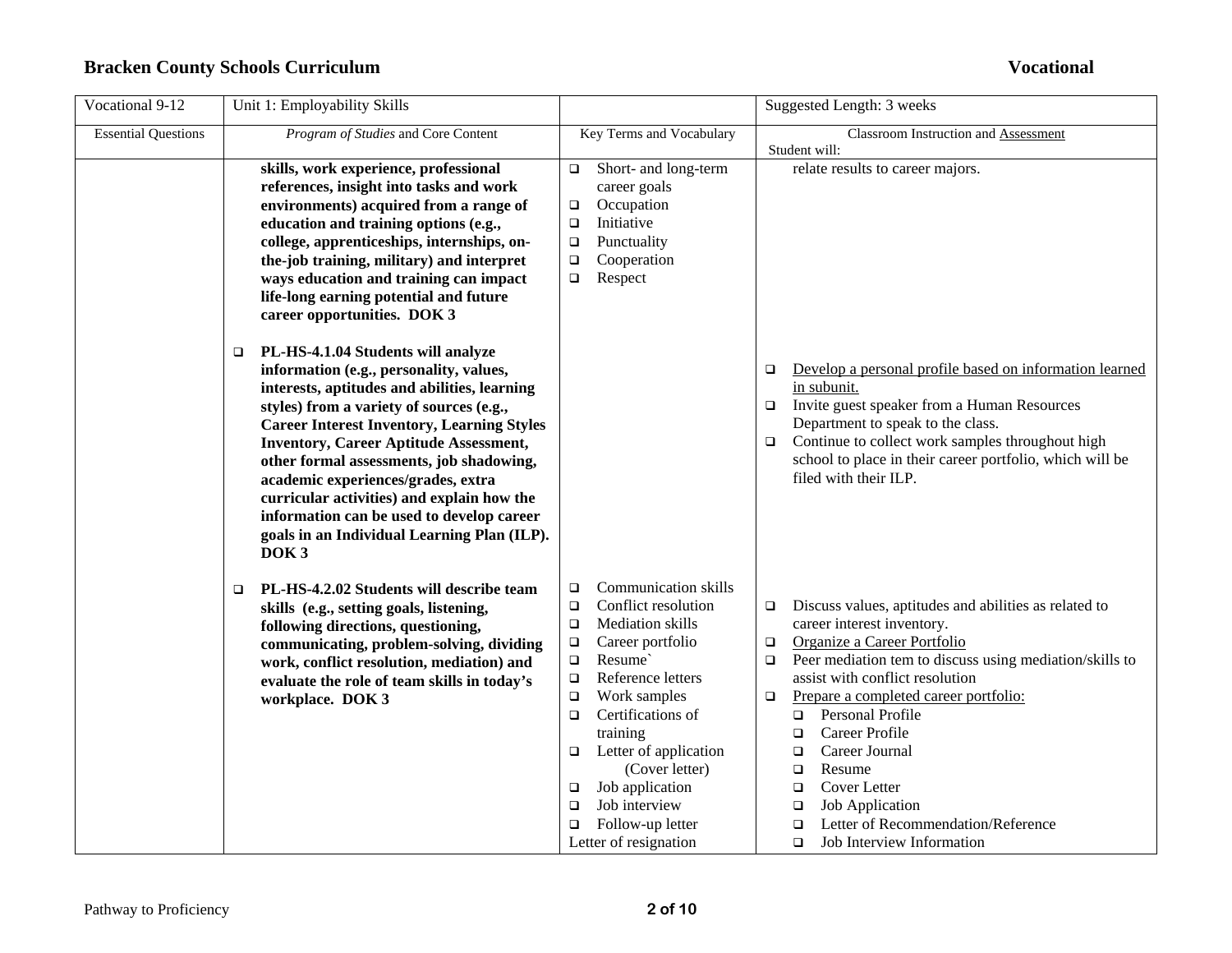| Vocational 9-12            | Unit 1: Employability Skills                                                                                                                                                                                                                                                                                                                                                                                                                                                              |                                                                                                                                                                                                                                                                                                                                                                                                                | Suggested Length: 3 weeks                                                                                                                                                                                                                                                                                                                                                                                                                                                                                                                           |
|----------------------------|-------------------------------------------------------------------------------------------------------------------------------------------------------------------------------------------------------------------------------------------------------------------------------------------------------------------------------------------------------------------------------------------------------------------------------------------------------------------------------------------|----------------------------------------------------------------------------------------------------------------------------------------------------------------------------------------------------------------------------------------------------------------------------------------------------------------------------------------------------------------------------------------------------------------|-----------------------------------------------------------------------------------------------------------------------------------------------------------------------------------------------------------------------------------------------------------------------------------------------------------------------------------------------------------------------------------------------------------------------------------------------------------------------------------------------------------------------------------------------------|
| <b>Essential Questions</b> | Program of Studies and Core Content                                                                                                                                                                                                                                                                                                                                                                                                                                                       | Key Terms and Vocabulary                                                                                                                                                                                                                                                                                                                                                                                       | Classroom Instruction and Assessment<br>Student will:                                                                                                                                                                                                                                                                                                                                                                                                                                                                                               |
|                            | skills, work experience, professional<br>references, insight into tasks and work<br>environments) acquired from a range of<br>education and training options (e.g.,<br>college, apprenticeships, internships, on-<br>the-job training, military) and interpret<br>ways education and training can impact<br>life-long earning potential and future<br>career opportunities. DOK 3<br>PL-HS-4.1.04 Students will analyze<br>□                                                              | Short- and long-term<br>$\Box$<br>career goals<br>Occupation<br>$\Box$<br>Initiative<br>$\Box$<br>Punctuality<br>$\Box$<br>Cooperation<br>$\Box$<br>Respect<br>$\Box$                                                                                                                                                                                                                                          | relate results to career majors.                                                                                                                                                                                                                                                                                                                                                                                                                                                                                                                    |
|                            | information (e.g., personality, values,<br>interests, aptitudes and abilities, learning<br>styles) from a variety of sources (e.g.,<br><b>Career Interest Inventory, Learning Styles</b><br><b>Inventory, Career Aptitude Assessment,</b><br>other formal assessments, job shadowing,<br>academic experiences/grades, extra<br>curricular activities) and explain how the<br>information can be used to develop career<br>goals in an Individual Learning Plan (ILP).<br>DOK <sub>3</sub> |                                                                                                                                                                                                                                                                                                                                                                                                                | Develop a personal profile based on information learned<br>❏<br>in subunit.<br>Invite guest speaker from a Human Resources<br>$\Box$<br>Department to speak to the class.<br>Continue to collect work samples throughout high<br>$\Box$<br>school to place in their career portfolio, which will be<br>filed with their ILP.                                                                                                                                                                                                                        |
|                            | PL-HS-4.2.02 Students will describe team<br>$\Box$<br>skills (e.g., setting goals, listening,<br>following directions, questioning,<br>communicating, problem-solving, dividing<br>work, conflict resolution, mediation) and<br>evaluate the role of team skills in today's<br>workplace. DOK 3                                                                                                                                                                                           | Communication skills<br>$\Box$<br>Conflict resolution<br>$\Box$<br>Mediation skills<br>$\Box$<br>Career portfolio<br>$\Box$<br>Resume`<br>$\Box$<br>Reference letters<br>$\Box$<br>Work samples<br>$\Box$<br>Certifications of<br>$\Box$<br>training<br>Letter of application<br>$\Box$<br>(Cover letter)<br>Job application<br>□<br>Job interview<br>$\Box$<br>Follow-up letter<br>□<br>Letter of resignation | Discuss values, aptitudes and abilities as related to<br>□<br>career interest inventory.<br>Organize a Career Portfolio<br>$\Box$<br>Peer mediation tem to discuss using mediation/skills to<br>$\Box$<br>assist with conflict resolution<br>Prepare a completed career portfolio:<br>□<br>Personal Profile<br>$\Box$<br>Career Profile<br>□<br>Career Journal<br>$\Box$<br>Resume<br>$\Box$<br>Cover Letter<br>□<br><b>Job Application</b><br>$\Box$<br>Letter of Recommendation/Reference<br>$\Box$<br><b>Job Interview Information</b><br>$\Box$ |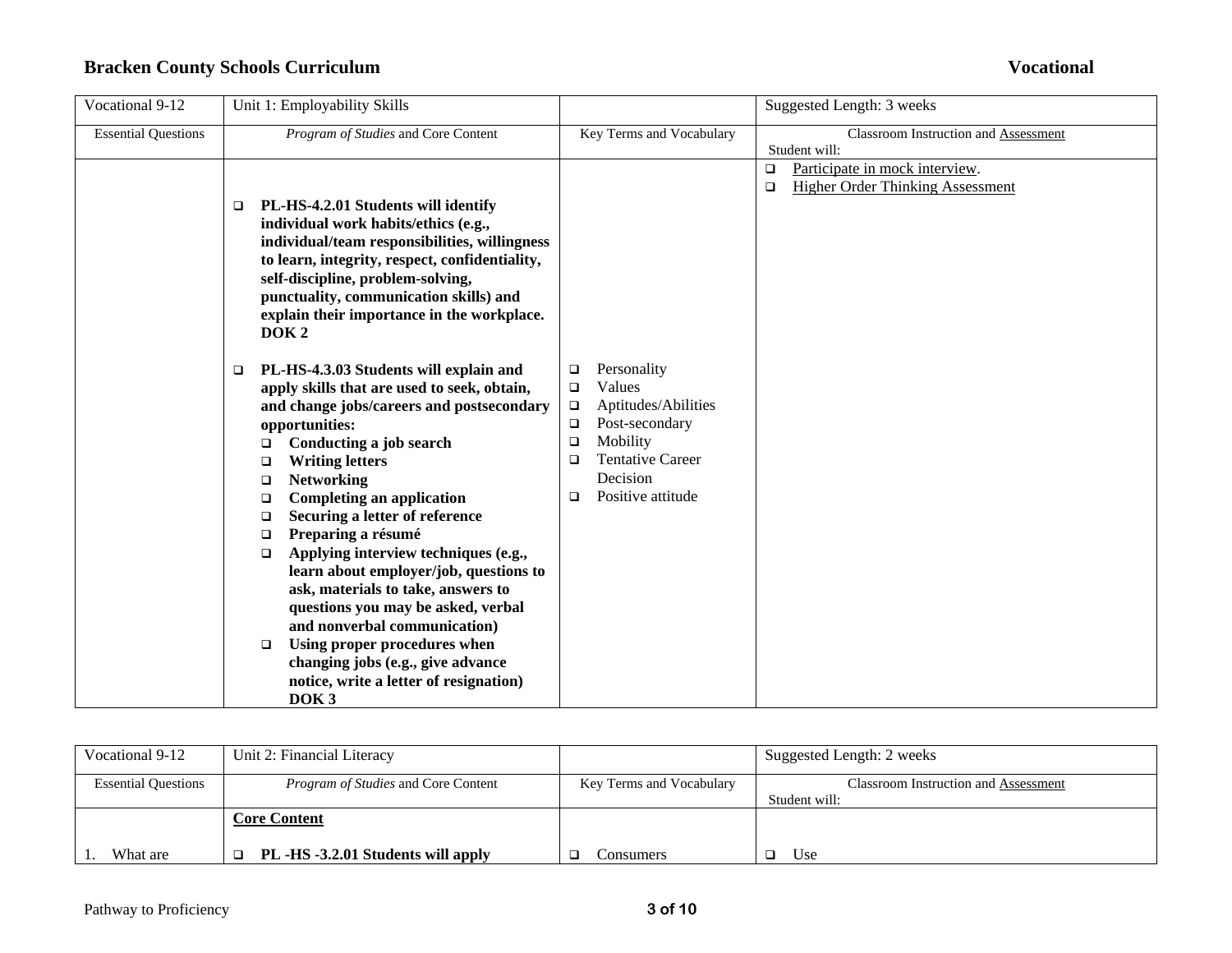| Vocational 9-12            | Unit 1: Employability Skills                                                                                                                                                                                                                                                                                                                                                                                                                                                                                                                                                                                                                                                                                                                |                                                                                                                                                                                     | Suggested Length: 3 weeks                                                                     |
|----------------------------|---------------------------------------------------------------------------------------------------------------------------------------------------------------------------------------------------------------------------------------------------------------------------------------------------------------------------------------------------------------------------------------------------------------------------------------------------------------------------------------------------------------------------------------------------------------------------------------------------------------------------------------------------------------------------------------------------------------------------------------------|-------------------------------------------------------------------------------------------------------------------------------------------------------------------------------------|-----------------------------------------------------------------------------------------------|
| <b>Essential Questions</b> | Program of Studies and Core Content                                                                                                                                                                                                                                                                                                                                                                                                                                                                                                                                                                                                                                                                                                         | Key Terms and Vocabulary                                                                                                                                                            | Classroom Instruction and Assessment<br>Student will:                                         |
|                            | PL-HS-4.2.01 Students will identify<br>□<br>individual work habits/ethics (e.g.,<br>individual/team responsibilities, willingness<br>to learn, integrity, respect, confidentiality,<br>self-discipline, problem-solving,<br>punctuality, communication skills) and<br>explain their importance in the workplace.<br>DOK <sub>2</sub>                                                                                                                                                                                                                                                                                                                                                                                                        |                                                                                                                                                                                     | Participate in mock interview.<br>$\Box$<br><b>Higher Order Thinking Assessment</b><br>$\Box$ |
|                            | PL-HS-4.3.03 Students will explain and<br>□<br>apply skills that are used to seek, obtain,<br>and change jobs/careers and postsecondary<br>opportunities:<br>Conducting a job search<br>$\Box$<br><b>Writing letters</b><br>$\Box$<br><b>Networking</b><br>□<br><b>Completing an application</b><br>$\Box$<br>Securing a letter of reference<br>$\Box$<br>Preparing a résumé<br>$\Box$<br>Applying interview techniques (e.g.,<br>$\Box$<br>learn about employer/job, questions to<br>ask, materials to take, answers to<br>questions you may be asked, verbal<br>and nonverbal communication)<br>Using proper procedures when<br>$\Box$<br>changing jobs (e.g., give advance<br>notice, write a letter of resignation)<br>DOK <sub>3</sub> | Personality<br>□<br>Values<br>□<br>Aptitudes/Abilities<br>$\Box$<br>Post-secondary<br>$\Box$<br>Mobility<br>❏<br><b>Tentative Career</b><br>□<br>Decision<br>Positive attitude<br>□ |                                                                                               |

| Vocational 9-12            | Unit 2: Financial Literacy                 |                          | Suggested Length: 2 weeks                   |
|----------------------------|--------------------------------------------|--------------------------|---------------------------------------------|
| <b>Essential Questions</b> | <i>Program of Studies</i> and Core Content | Key Terms and Vocabulary | <b>Classroom Instruction and Assessment</b> |
|                            |                                            |                          | Student will:                               |
|                            | <b>Core Content</b>                        |                          |                                             |
| What are                   | PL -HS -3.2.01 Students will apply         | consumers                | Use                                         |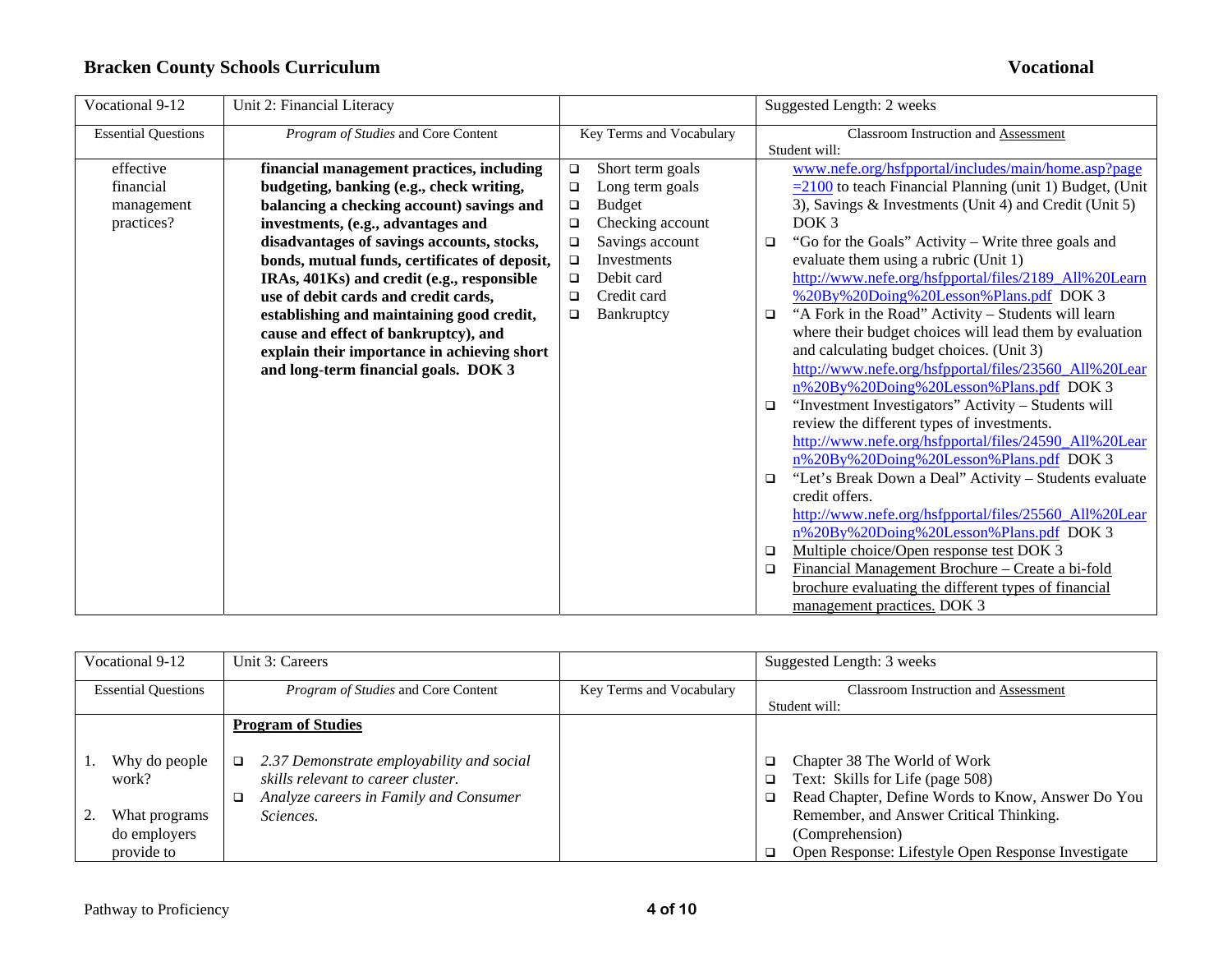| Vocational 9-12            | Unit 2: Financial Literacy                    |        |                          |        | Suggested Length: 2 weeks                                        |
|----------------------------|-----------------------------------------------|--------|--------------------------|--------|------------------------------------------------------------------|
| <b>Essential Questions</b> | Program of Studies and Core Content           |        | Key Terms and Vocabulary |        | <b>Classroom Instruction and Assessment</b>                      |
|                            |                                               |        |                          |        | Student will:                                                    |
| effective                  | financial management practices, including     | $\Box$ | Short term goals         |        | www.nefe.org/hsfpportal/includes/main/home.asp?page              |
| financial                  | budgeting, banking (e.g., check writing,      | $\Box$ | Long term goals          |        | $\equiv$ 2100 to teach Financial Planning (unit 1) Budget, (Unit |
| management                 | balancing a checking account) savings and     | $\Box$ | <b>Budget</b>            |        | 3), Savings & Investments (Unit 4) and Credit (Unit 5)           |
| practices?                 | investments, (e.g., advantages and            | $\Box$ | Checking account         |        | DOK <sub>3</sub>                                                 |
|                            | disadvantages of savings accounts, stocks,    | $\Box$ | Savings account          | □      | "Go for the Goals" Activity – Write three goals and              |
|                            | bonds, mutual funds, certificates of deposit, | $\Box$ | Investments              |        | evaluate them using a rubric (Unit 1)                            |
|                            | IRAs, 401Ks) and credit (e.g., responsible    | $\Box$ | Debit card               |        | http://www.nefe.org/hsfpportal/files/2189 All%20Learn            |
|                            | use of debit cards and credit cards,          | $\Box$ | Credit card              |        | %20By%20Doing%20Lesson%Plans.pdf DOK 3                           |
|                            | establishing and maintaining good credit,     | $\Box$ | Bankruptcy               | □      | "A Fork in the Road" Activity - Students will learn              |
|                            | cause and effect of bankruptcy), and          |        |                          |        | where their budget choices will lead them by evaluation          |
|                            | explain their importance in achieving short   |        |                          |        | and calculating budget choices. (Unit 3)                         |
|                            | and long-term financial goals. DOK 3          |        |                          |        | http://www.nefe.org/hsfpportal/files/23560 All%20Lear            |
|                            |                                               |        |                          |        | n%20By%20Doing%20Lesson%Plans.pdf DOK 3                          |
|                            |                                               |        |                          | □      | "Investment Investigators" Activity – Students will              |
|                            |                                               |        |                          |        | review the different types of investments.                       |
|                            |                                               |        |                          |        | http://www.nefe.org/hsfpportal/files/24590 All%20Lear            |
|                            |                                               |        |                          |        | n%20By%20Doing%20Lesson%Plans.pdf DOK 3                          |
|                            |                                               |        |                          | $\Box$ | "Let's Break Down a Deal" Activity - Students evaluate           |
|                            |                                               |        |                          |        | credit offers.                                                   |
|                            |                                               |        |                          |        | http://www.nefe.org/hsfpportal/files/25560_All%20Lear            |
|                            |                                               |        |                          |        | n%20By%20Doing%20Lesson%Plans.pdf DOK 3                          |
|                            |                                               |        |                          | □      | Multiple choice/Open response test DOK 3                         |
|                            |                                               |        |                          | □      | Financial Management Brochure – Create a bi-fold                 |
|                            |                                               |        |                          |        | brochure evaluating the different types of financial             |
|                            |                                               |        |                          |        | management practices. DOK 3                                      |

| Vocational 9-12            |                                             | Unit 3: Careers                                                                                                                     |                          | Suggested Length: 3 weeks                                                                                                             |
|----------------------------|---------------------------------------------|-------------------------------------------------------------------------------------------------------------------------------------|--------------------------|---------------------------------------------------------------------------------------------------------------------------------------|
| <b>Essential Questions</b> |                                             | <i>Program of Studies</i> and Core Content                                                                                          | Key Terms and Vocabulary | Classroom Instruction and Assessment<br>Student will:                                                                                 |
|                            |                                             | <b>Program of Studies</b>                                                                                                           |                          |                                                                                                                                       |
|                            | Why do people<br>work?                      | 2.37 Demonstrate employability and social<br>$\Box$<br>skills relevant to career cluster.<br>Analyze careers in Family and Consumer |                          | Chapter 38 The World of Work<br>o.<br>Text: Skills for Life (page 508)<br>❏<br>Read Chapter, Define Words to Know, Answer Do You<br>□ |
|                            | What programs<br>do employers<br>provide to | Sciences.                                                                                                                           |                          | Remember, and Answer Critical Thinking.<br>(Comprehension)<br>Open Response: Lifestyle Open Response Investigate                      |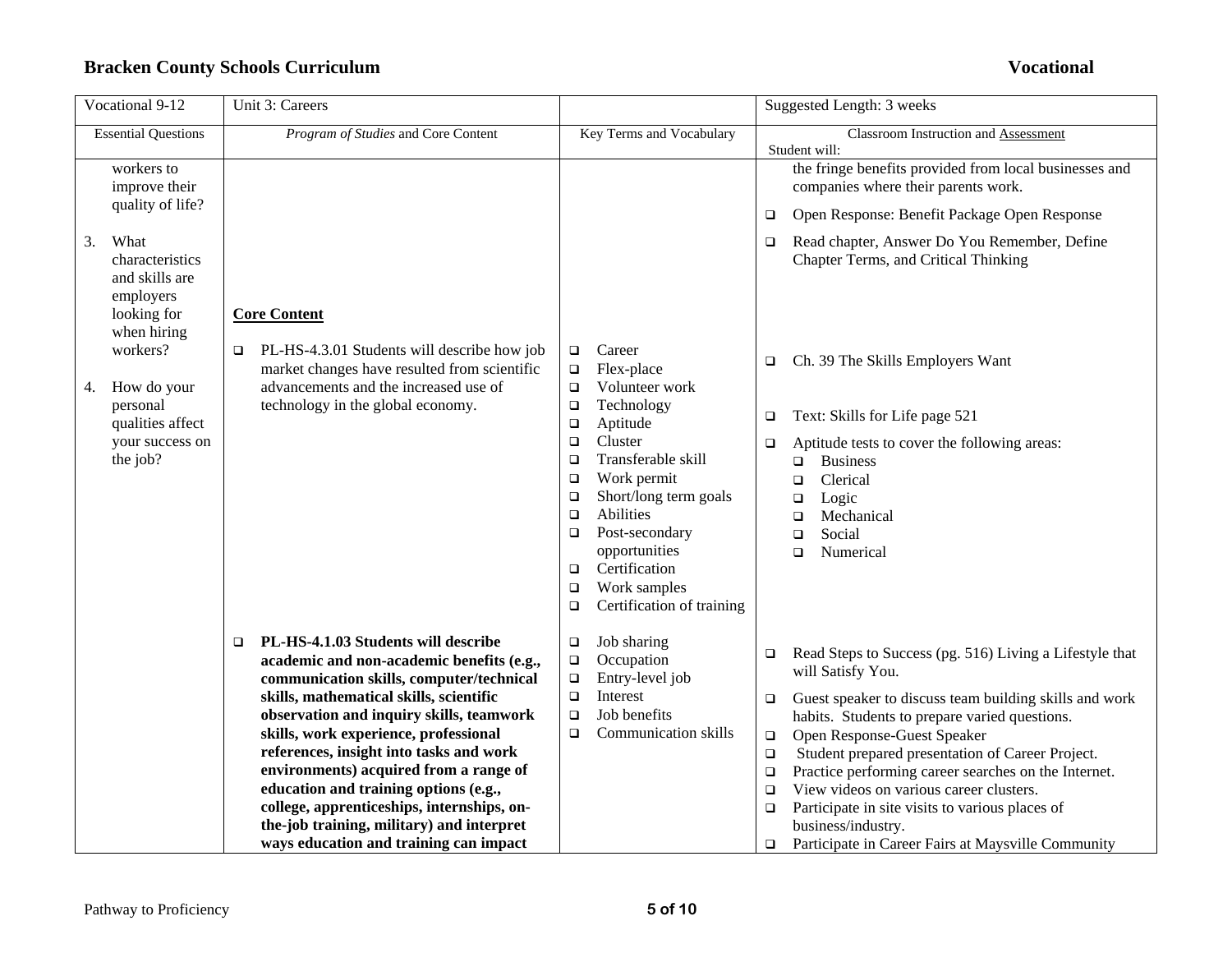| Vocational 9-12                                                                                             | Unit 3: Careers                                                                                                                                                                                                                                                                                                                                                                                                                                                                                                                      |                                                                                                                                                                                                                                                                                                                                                                                                     | Suggested Length: 3 weeks                                                                                                                                                                                                                                                                                                                                                                                                                                                                                                                                                          |
|-------------------------------------------------------------------------------------------------------------|--------------------------------------------------------------------------------------------------------------------------------------------------------------------------------------------------------------------------------------------------------------------------------------------------------------------------------------------------------------------------------------------------------------------------------------------------------------------------------------------------------------------------------------|-----------------------------------------------------------------------------------------------------------------------------------------------------------------------------------------------------------------------------------------------------------------------------------------------------------------------------------------------------------------------------------------------------|------------------------------------------------------------------------------------------------------------------------------------------------------------------------------------------------------------------------------------------------------------------------------------------------------------------------------------------------------------------------------------------------------------------------------------------------------------------------------------------------------------------------------------------------------------------------------------|
| <b>Essential Questions</b>                                                                                  | Program of Studies and Core Content                                                                                                                                                                                                                                                                                                                                                                                                                                                                                                  | Key Terms and Vocabulary                                                                                                                                                                                                                                                                                                                                                                            | Classroom Instruction and Assessment<br>Student will:                                                                                                                                                                                                                                                                                                                                                                                                                                                                                                                              |
| workers to<br>improve their                                                                                 |                                                                                                                                                                                                                                                                                                                                                                                                                                                                                                                                      |                                                                                                                                                                                                                                                                                                                                                                                                     | the fringe benefits provided from local businesses and<br>companies where their parents work.                                                                                                                                                                                                                                                                                                                                                                                                                                                                                      |
| quality of life?                                                                                            |                                                                                                                                                                                                                                                                                                                                                                                                                                                                                                                                      |                                                                                                                                                                                                                                                                                                                                                                                                     | Open Response: Benefit Package Open Response<br>$\Box$                                                                                                                                                                                                                                                                                                                                                                                                                                                                                                                             |
| 3.<br>What<br>characteristics<br>and skills are<br>employers<br>looking for                                 | <b>Core Content</b>                                                                                                                                                                                                                                                                                                                                                                                                                                                                                                                  |                                                                                                                                                                                                                                                                                                                                                                                                     | Read chapter, Answer Do You Remember, Define<br>$\Box$<br>Chapter Terms, and Critical Thinking                                                                                                                                                                                                                                                                                                                                                                                                                                                                                     |
| when hiring<br>workers?<br>How do your<br>4.<br>personal<br>qualities affect<br>your success on<br>the job? | PL-HS-4.3.01 Students will describe how job<br>market changes have resulted from scientific<br>advancements and the increased use of<br>technology in the global economy.                                                                                                                                                                                                                                                                                                                                                            | Career<br>$\Box$<br>$\Box$<br>Flex-place<br>Volunteer work<br>$\Box$<br>Technology<br>$\Box$<br>Aptitude<br>$\Box$<br>Cluster<br>$\Box$<br>Transferable skill<br>$\Box$<br>Work permit<br>$\Box$<br>Short/long term goals<br>$\Box$<br>Abilities<br>$\Box$<br>Post-secondary<br>$\Box$<br>opportunities<br>Certification<br>$\Box$<br>Work samples<br>$\Box$<br>Certification of training<br>$\Box$ | Ch. 39 The Skills Employers Want<br>□<br>Text: Skills for Life page 521<br>$\Box$<br>Aptitude tests to cover the following areas:<br>$\Box$<br><b>Business</b><br>$\Box$<br>Clerical<br>$\Box$<br>Logic<br>□<br>Mechanical<br>$\Box$<br>Social<br>$\Box$<br>Numerical<br>$\Box$                                                                                                                                                                                                                                                                                                    |
|                                                                                                             | PL-HS-4.1.03 Students will describe<br>□<br>academic and non-academic benefits (e.g.,<br>communication skills, computer/technical<br>skills, mathematical skills, scientific<br>observation and inquiry skills, teamwork<br>skills, work experience, professional<br>references, insight into tasks and work<br>environments) acquired from a range of<br>education and training options (e.g.,<br>college, apprenticeships, internships, on-<br>the-job training, military) and interpret<br>ways education and training can impact | Job sharing<br>$\Box$<br>Occupation<br>$\Box$<br>Entry-level job<br>$\Box$<br>Interest<br>$\Box$<br>Job benefits<br>$\Box$<br><b>Communication skills</b><br>$\Box$                                                                                                                                                                                                                                 | Read Steps to Success (pg. 516) Living a Lifestyle that<br>□<br>will Satisfy You.<br>Guest speaker to discuss team building skills and work<br>$\Box$<br>habits. Students to prepare varied questions.<br>Open Response-Guest Speaker<br>$\Box$<br>Student prepared presentation of Career Project.<br>$\Box$<br>Practice performing career searches on the Internet.<br>$\Box$<br>View videos on various career clusters.<br>$\Box$<br>Participate in site visits to various places of<br>$\Box$<br>business/industry.<br>Participate in Career Fairs at Maysville Community<br>□ |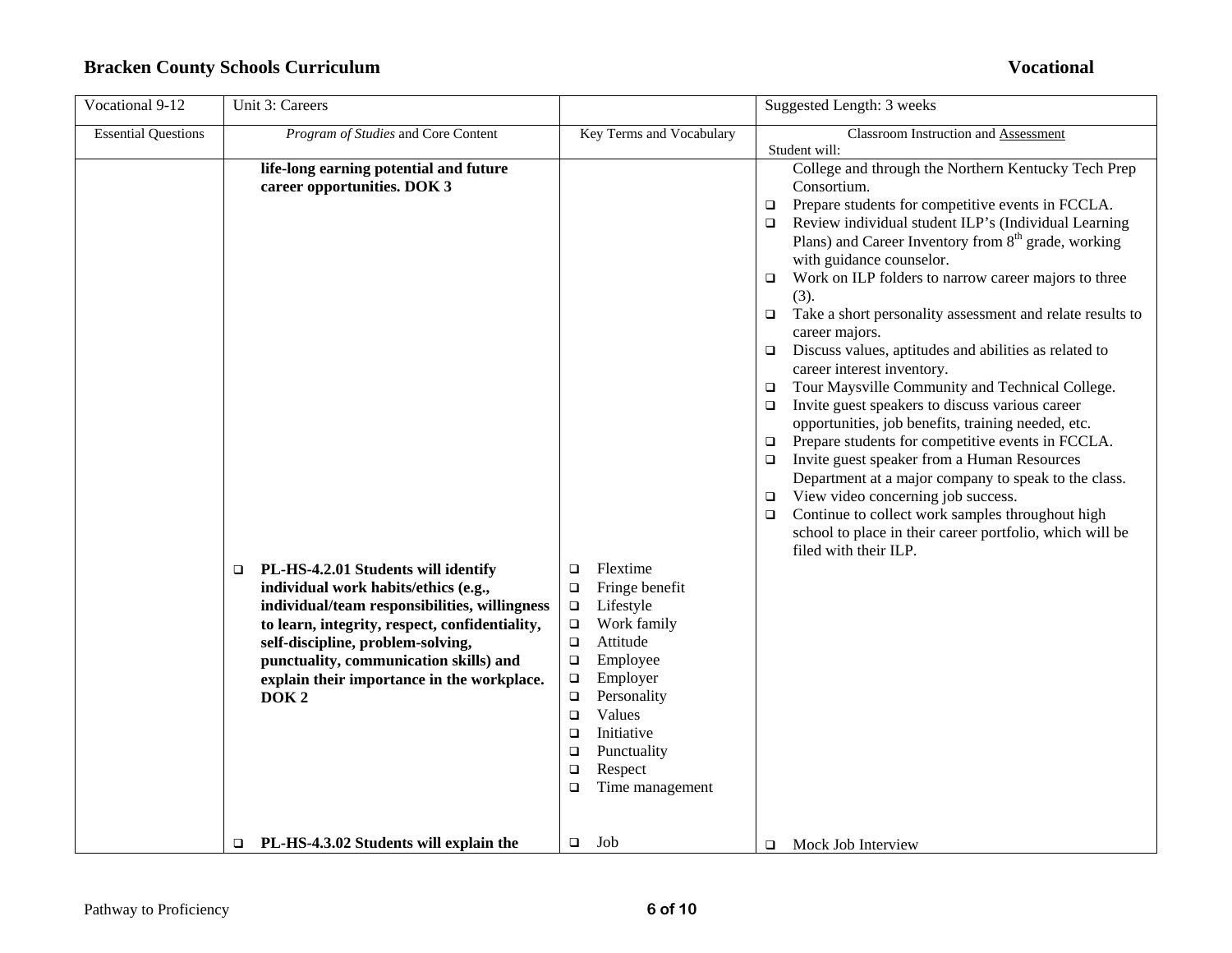| Vocational 9-12            | Unit 3: Careers                                                                                                                                                                                                                                                                                                                                                                                                                                                   |                                                                                                                                                                                                                                                                                                                                   | Suggested Length: 3 weeks                                                                                                                                                                                                                                                                                                                                                                                                                                                                                                                                                                                                                                                                                                                                                                                                                                                                                                                                                                                                                                                                                                                        |
|----------------------------|-------------------------------------------------------------------------------------------------------------------------------------------------------------------------------------------------------------------------------------------------------------------------------------------------------------------------------------------------------------------------------------------------------------------------------------------------------------------|-----------------------------------------------------------------------------------------------------------------------------------------------------------------------------------------------------------------------------------------------------------------------------------------------------------------------------------|--------------------------------------------------------------------------------------------------------------------------------------------------------------------------------------------------------------------------------------------------------------------------------------------------------------------------------------------------------------------------------------------------------------------------------------------------------------------------------------------------------------------------------------------------------------------------------------------------------------------------------------------------------------------------------------------------------------------------------------------------------------------------------------------------------------------------------------------------------------------------------------------------------------------------------------------------------------------------------------------------------------------------------------------------------------------------------------------------------------------------------------------------|
| <b>Essential Questions</b> | Program of Studies and Core Content                                                                                                                                                                                                                                                                                                                                                                                                                               | Key Terms and Vocabulary                                                                                                                                                                                                                                                                                                          | Classroom Instruction and Assessment<br>Student will:                                                                                                                                                                                                                                                                                                                                                                                                                                                                                                                                                                                                                                                                                                                                                                                                                                                                                                                                                                                                                                                                                            |
|                            | life-long earning potential and future<br>career opportunities. DOK 3<br>PL-HS-4.2.01 Students will identify<br>□<br>individual work habits/ethics (e.g.,<br>individual/team responsibilities, willingness<br>to learn, integrity, respect, confidentiality,<br>self-discipline, problem-solving,<br>punctuality, communication skills) and<br>explain their importance in the workplace.<br>DOK <sub>2</sub><br>PL-HS-4.3.02 Students will explain the<br>$\Box$ | Flextime<br>$\Box$<br>Fringe benefit<br>$\Box$<br>Lifestyle<br>$\Box$<br>Work family<br>$\Box$<br>Attitude<br>$\Box$<br>Employee<br>$\Box$<br>Employer<br>$\Box$<br>Personality<br>$\Box$<br>Values<br>$\Box$<br>Initiative<br>$\Box$<br>Punctuality<br>$\Box$<br>Respect<br>$\Box$<br>$\Box$<br>Time management<br>Job<br>$\Box$ | College and through the Northern Kentucky Tech Prep<br>Consortium.<br>Prepare students for competitive events in FCCLA.<br>□<br>Review individual student ILP's (Individual Learning<br>$\Box$<br>Plans) and Career Inventory from 8 <sup>th</sup> grade, working<br>with guidance counselor.<br>Work on ILP folders to narrow career majors to three<br>□<br>(3).<br>Take a short personality assessment and relate results to<br>$\Box$<br>career majors.<br>Discuss values, aptitudes and abilities as related to<br>$\Box$<br>career interest inventory.<br>Tour Maysville Community and Technical College.<br>$\Box$<br>Invite guest speakers to discuss various career<br>$\Box$<br>opportunities, job benefits, training needed, etc.<br>Prepare students for competitive events in FCCLA.<br>$\Box$<br>Invite guest speaker from a Human Resources<br>$\Box$<br>Department at a major company to speak to the class.<br>View video concerning job success.<br>$\Box$<br>Continue to collect work samples throughout high<br>□<br>school to place in their career portfolio, which will be<br>filed with their ILP.<br>Mock Job Interview |
|                            |                                                                                                                                                                                                                                                                                                                                                                                                                                                                   |                                                                                                                                                                                                                                                                                                                                   | □                                                                                                                                                                                                                                                                                                                                                                                                                                                                                                                                                                                                                                                                                                                                                                                                                                                                                                                                                                                                                                                                                                                                                |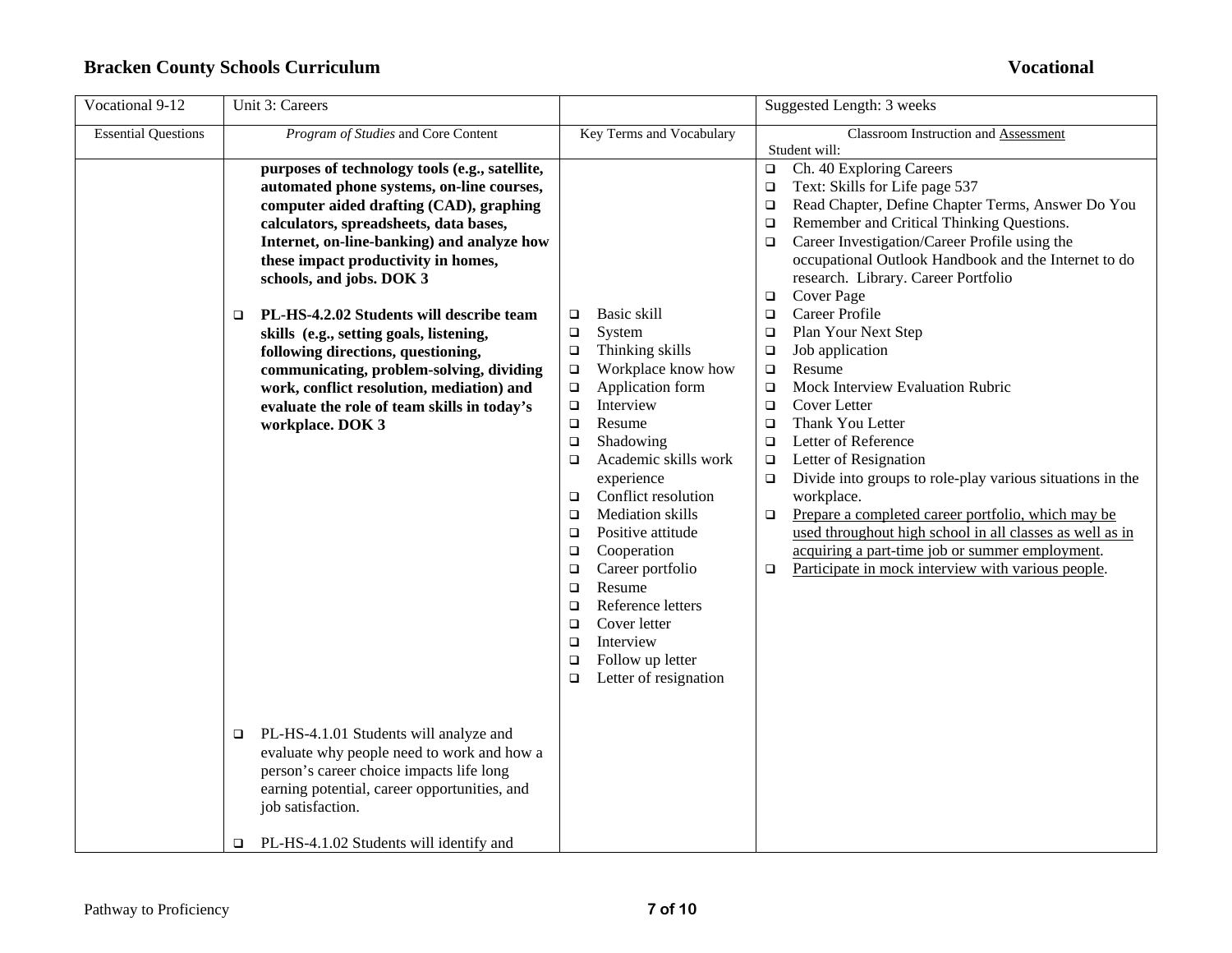| Vocational 9-12            | Unit 3: Careers                                                                                                                                                                                                                                                                                                                                                                                                                                                                                                                                                                                 |                                                                                                                                                                                                                                                                                                                                                                                                                                                                        | Suggested Length: 3 weeks                                                                                                                                                                                                                                                                                                                                                                                                                                                                                                                                                                                                                                                                                                                                                                                                                                                                                                                                                                                          |
|----------------------------|-------------------------------------------------------------------------------------------------------------------------------------------------------------------------------------------------------------------------------------------------------------------------------------------------------------------------------------------------------------------------------------------------------------------------------------------------------------------------------------------------------------------------------------------------------------------------------------------------|------------------------------------------------------------------------------------------------------------------------------------------------------------------------------------------------------------------------------------------------------------------------------------------------------------------------------------------------------------------------------------------------------------------------------------------------------------------------|--------------------------------------------------------------------------------------------------------------------------------------------------------------------------------------------------------------------------------------------------------------------------------------------------------------------------------------------------------------------------------------------------------------------------------------------------------------------------------------------------------------------------------------------------------------------------------------------------------------------------------------------------------------------------------------------------------------------------------------------------------------------------------------------------------------------------------------------------------------------------------------------------------------------------------------------------------------------------------------------------------------------|
| <b>Essential Questions</b> | Program of Studies and Core Content                                                                                                                                                                                                                                                                                                                                                                                                                                                                                                                                                             | Key Terms and Vocabulary                                                                                                                                                                                                                                                                                                                                                                                                                                               | Classroom Instruction and Assessment<br>Student will:                                                                                                                                                                                                                                                                                                                                                                                                                                                                                                                                                                                                                                                                                                                                                                                                                                                                                                                                                              |
|                            | purposes of technology tools (e.g., satellite,<br>automated phone systems, on-line courses,<br>computer aided drafting (CAD), graphing<br>calculators, spreadsheets, data bases,<br>Internet, on-line-banking) and analyze how<br>these impact productivity in homes,<br>schools, and jobs. DOK 3<br>PL-HS-4.2.02 Students will describe team<br>□<br>skills (e.g., setting goals, listening,<br>following directions, questioning,<br>communicating, problem-solving, dividing<br>work, conflict resolution, mediation) and<br>evaluate the role of team skills in today's<br>workplace. DOK 3 | Basic skill<br>□<br>System<br>$\Box$<br>Thinking skills<br>$\Box$<br>Workplace know how<br>$\Box$<br>Application form<br>$\Box$<br>Interview<br>$\Box$<br>Resume<br>$\Box$<br>Shadowing<br>$\Box$<br>Academic skills work<br>$\Box$<br>experience<br>Conflict resolution<br>❏<br><b>Mediation</b> skills<br>□<br>Positive attitude<br>$\Box$<br>Cooperation<br>❏<br>Career portfolio<br>$\Box$<br>Resume<br>$\Box$<br>Reference letters<br>$\Box$<br>Cover letter<br>□ | Ch. 40 Exploring Careers<br>$\Box$<br>Text: Skills for Life page 537<br>$\Box$<br>Read Chapter, Define Chapter Terms, Answer Do You<br>$\Box$<br>Remember and Critical Thinking Questions.<br>$\Box$<br>Career Investigation/Career Profile using the<br>$\Box$<br>occupational Outlook Handbook and the Internet to do<br>research. Library. Career Portfolio<br>Cover Page<br>$\Box$<br>Career Profile<br>$\Box$<br>Plan Your Next Step<br>$\Box$<br>Job application<br>$\Box$<br>Resume<br>$\Box$<br>Mock Interview Evaluation Rubric<br>$\Box$<br>Cover Letter<br>$\Box$<br>Thank You Letter<br>$\Box$<br>Letter of Reference<br>$\Box$<br>Letter of Resignation<br>$\Box$<br>Divide into groups to role-play various situations in the<br>$\Box$<br>workplace.<br>Prepare a completed career portfolio, which may be<br>$\Box$<br>used throughout high school in all classes as well as in<br>acquiring a part-time job or summer employment.<br>Participate in mock interview with various people.<br>$\Box$ |
|                            |                                                                                                                                                                                                                                                                                                                                                                                                                                                                                                                                                                                                 | Interview<br>$\Box$<br>Follow up letter<br>$\Box$<br>Letter of resignation<br>□                                                                                                                                                                                                                                                                                                                                                                                        |                                                                                                                                                                                                                                                                                                                                                                                                                                                                                                                                                                                                                                                                                                                                                                                                                                                                                                                                                                                                                    |
|                            | PL-HS-4.1.01 Students will analyze and<br>□<br>evaluate why people need to work and how a<br>person's career choice impacts life long<br>earning potential, career opportunities, and<br>job satisfaction.                                                                                                                                                                                                                                                                                                                                                                                      |                                                                                                                                                                                                                                                                                                                                                                                                                                                                        |                                                                                                                                                                                                                                                                                                                                                                                                                                                                                                                                                                                                                                                                                                                                                                                                                                                                                                                                                                                                                    |
|                            | PL-HS-4.1.02 Students will identify and<br>□                                                                                                                                                                                                                                                                                                                                                                                                                                                                                                                                                    |                                                                                                                                                                                                                                                                                                                                                                                                                                                                        |                                                                                                                                                                                                                                                                                                                                                                                                                                                                                                                                                                                                                                                                                                                                                                                                                                                                                                                                                                                                                    |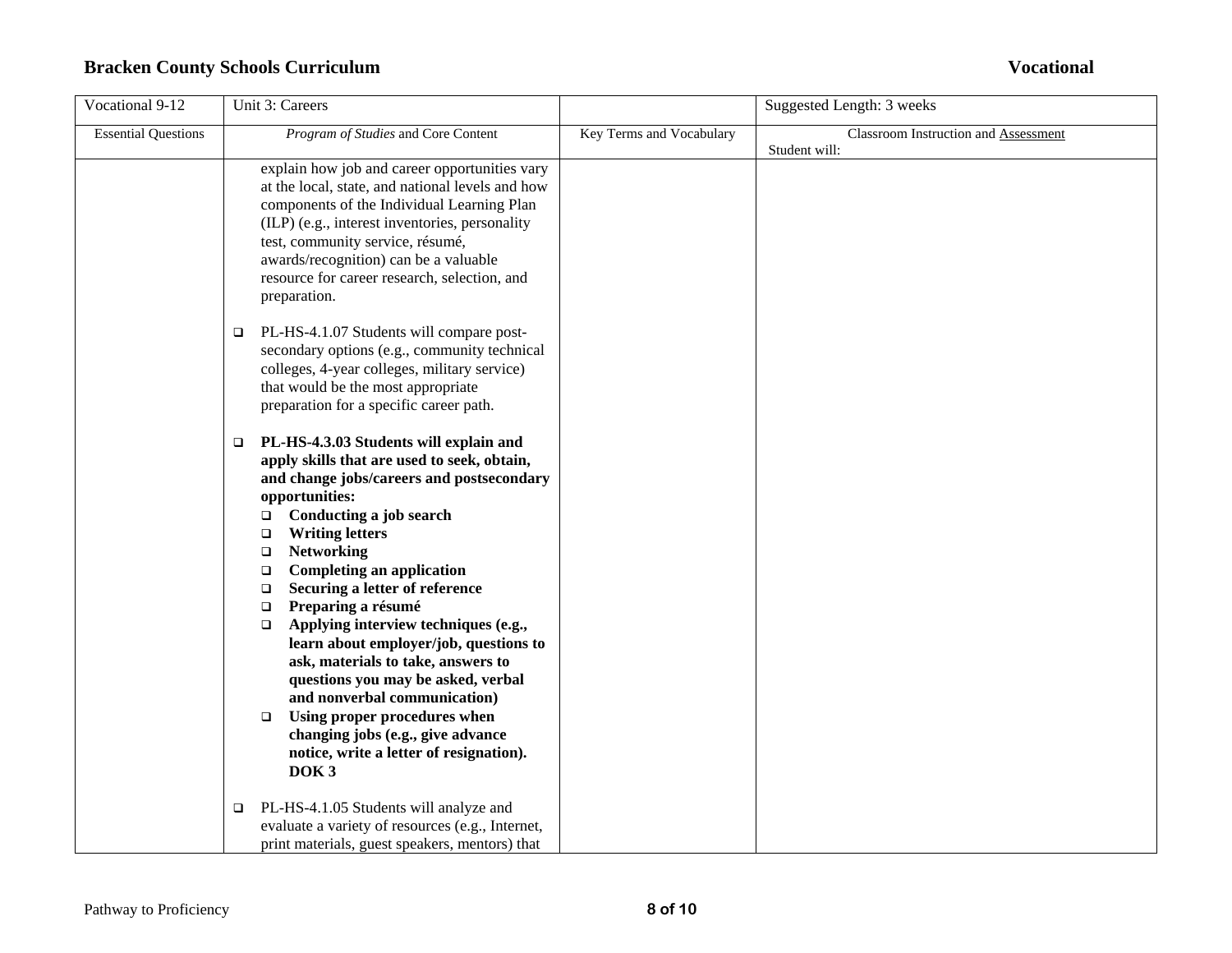| Vocational 9-12            | Unit 3: Careers                                                                                                                                                                                                                                                                                                                                                                                                                                                                                                                                                                                                                                                                                                                                        |                          | Suggested Length: 3 weeks                             |
|----------------------------|--------------------------------------------------------------------------------------------------------------------------------------------------------------------------------------------------------------------------------------------------------------------------------------------------------------------------------------------------------------------------------------------------------------------------------------------------------------------------------------------------------------------------------------------------------------------------------------------------------------------------------------------------------------------------------------------------------------------------------------------------------|--------------------------|-------------------------------------------------------|
| <b>Essential Questions</b> | Program of Studies and Core Content                                                                                                                                                                                                                                                                                                                                                                                                                                                                                                                                                                                                                                                                                                                    | Key Terms and Vocabulary | Classroom Instruction and Assessment<br>Student will: |
|                            | explain how job and career opportunities vary<br>at the local, state, and national levels and how<br>components of the Individual Learning Plan<br>(ILP) (e.g., interest inventories, personality<br>test, community service, résumé,<br>awards/recognition) can be a valuable<br>resource for career research, selection, and<br>preparation.                                                                                                                                                                                                                                                                                                                                                                                                         |                          |                                                       |
|                            | PL-HS-4.1.07 Students will compare post-<br>$\Box$<br>secondary options (e.g., community technical<br>colleges, 4-year colleges, military service)<br>that would be the most appropriate<br>preparation for a specific career path.                                                                                                                                                                                                                                                                                                                                                                                                                                                                                                                    |                          |                                                       |
|                            | PL-HS-4.3.03 Students will explain and<br>$\Box$<br>apply skills that are used to seek, obtain,<br>and change jobs/careers and postsecondary<br>opportunities:<br>Conducting a job search<br>$\Box$<br><b>Writing letters</b><br>$\Box$<br><b>Networking</b><br>$\Box$<br><b>Completing an application</b><br>$\Box$<br>Securing a letter of reference<br>$\Box$<br>Preparing a résumé<br>$\Box$<br>Applying interview techniques (e.g.,<br>$\Box$<br>learn about employer/job, questions to<br>ask, materials to take, answers to<br>questions you may be asked, verbal<br>and nonverbal communication)<br>Using proper procedures when<br>$\Box$<br>changing jobs (e.g., give advance<br>notice, write a letter of resignation).<br>DOK <sub>3</sub> |                          |                                                       |
|                            | PL-HS-4.1.05 Students will analyze and<br>$\Box$<br>evaluate a variety of resources (e.g., Internet,<br>print materials, guest speakers, mentors) that                                                                                                                                                                                                                                                                                                                                                                                                                                                                                                                                                                                                 |                          |                                                       |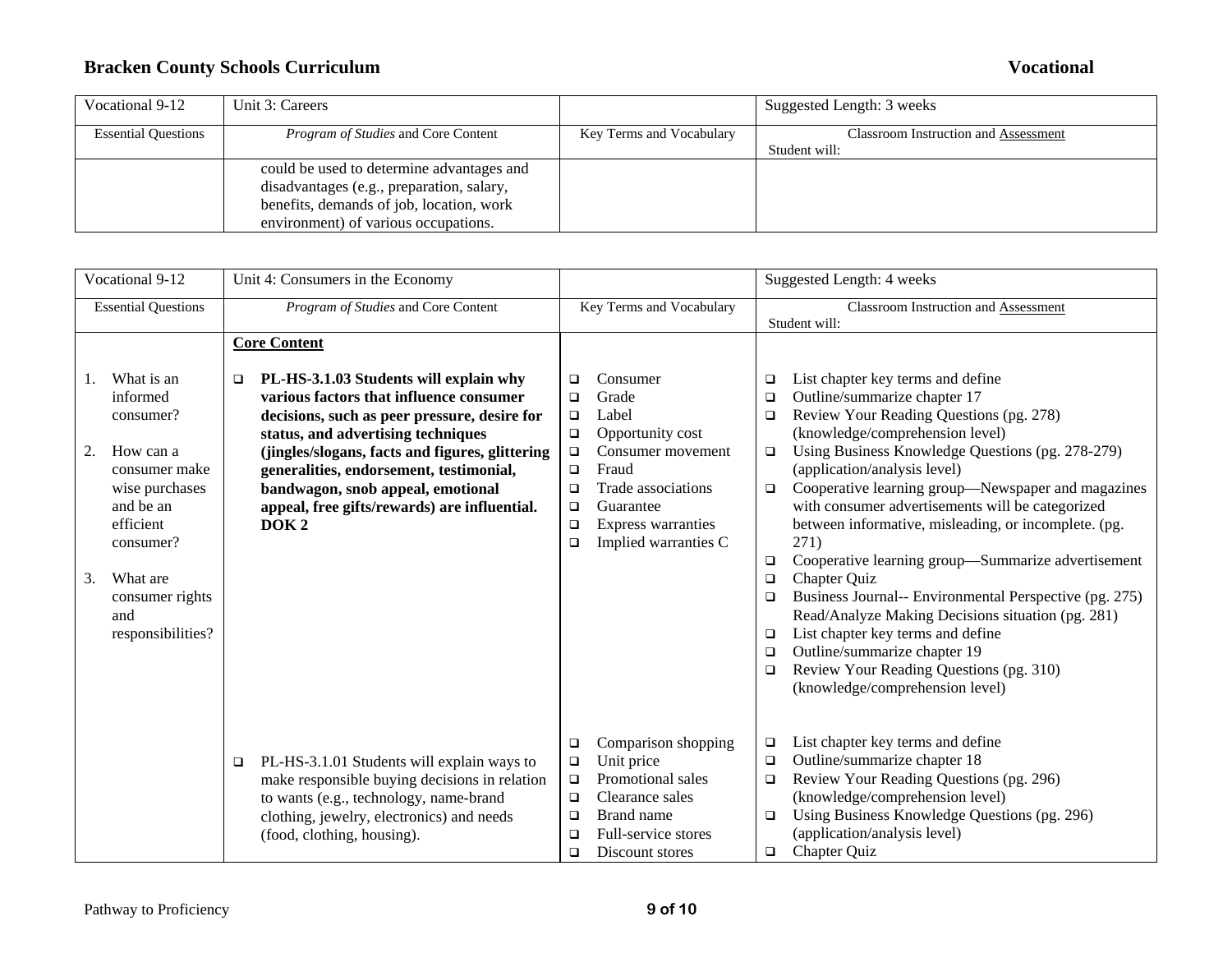| Vocational 9-12            | Unit 3: Careers                            |                          | Suggested Length: 3 weeks            |
|----------------------------|--------------------------------------------|--------------------------|--------------------------------------|
| <b>Essential Questions</b> | <i>Program of Studies</i> and Core Content | Key Terms and Vocabulary | Classroom Instruction and Assessment |
|                            |                                            |                          | Student will:                        |
|                            | could be used to determine advantages and  |                          |                                      |
|                            | disadvantages (e.g., preparation, salary,  |                          |                                      |
|                            | benefits, demands of job, location, work   |                          |                                      |
|                            | environment) of various occupations.       |                          |                                      |

| Vocational 9-12                                                                                                           | Unit 4: Consumers in the Economy                                                                                                                                                                                                                                                                                                                                                                           |                                                                                                                                                                                                                                 | Suggested Length: 4 weeks                                                                                                                                                                                                                                                                                                                                                                                                                          |
|---------------------------------------------------------------------------------------------------------------------------|------------------------------------------------------------------------------------------------------------------------------------------------------------------------------------------------------------------------------------------------------------------------------------------------------------------------------------------------------------------------------------------------------------|---------------------------------------------------------------------------------------------------------------------------------------------------------------------------------------------------------------------------------|----------------------------------------------------------------------------------------------------------------------------------------------------------------------------------------------------------------------------------------------------------------------------------------------------------------------------------------------------------------------------------------------------------------------------------------------------|
| <b>Essential Questions</b>                                                                                                | Program of Studies and Core Content                                                                                                                                                                                                                                                                                                                                                                        | Key Terms and Vocabulary                                                                                                                                                                                                        | Classroom Instruction and Assessment<br>Student will:                                                                                                                                                                                                                                                                                                                                                                                              |
| What is an<br>1.<br>informed<br>consumer?<br>2.<br>How can a<br>consumer make<br>wise purchases<br>and be an<br>efficient | <b>Core Content</b><br>PL-HS-3.1.03 Students will explain why<br>❏<br>various factors that influence consumer<br>decisions, such as peer pressure, desire for<br>status, and advertising techniques<br>(jingles/slogans, facts and figures, glittering<br>generalities, endorsement, testimonial,<br>bandwagon, snob appeal, emotional<br>appeal, free gifts/rewards) are influential.<br>DOK <sub>2</sub> | Consumer<br>$\Box$<br>Grade<br>$\Box$<br>Label<br>$\Box$<br>$\Box$<br>Opportunity cost<br>Consumer movement<br>$\Box$<br>Fraud<br>$\Box$<br>Trade associations<br>$\Box$<br>Guarantee<br>$\Box$<br>Express warranties<br>$\Box$ | List chapter key terms and define<br>❏<br>Outline/summarize chapter 17<br>$\Box$<br>Review Your Reading Questions (pg. 278)<br>$\Box$<br>(knowledge/comprehension level)<br>Using Business Knowledge Questions (pg. 278-279)<br>$\Box$<br>(application/analysis level)<br>Cooperative learning group-Newspaper and magazines<br>$\Box$<br>with consumer advertisements will be categorized<br>between informative, misleading, or incomplete. (pg. |
| consumer?<br>3.<br>What are<br>consumer rights<br>and<br>responsibilities?                                                |                                                                                                                                                                                                                                                                                                                                                                                                            | Implied warranties C<br>$\Box$                                                                                                                                                                                                  | 271)<br>Cooperative learning group—Summarize advertisement<br>$\Box$<br>Chapter Quiz<br>$\Box$<br>Business Journal-- Environmental Perspective (pg. 275)<br>□<br>Read/Analyze Making Decisions situation (pg. 281)<br>List chapter key terms and define<br>□<br>Outline/summarize chapter 19<br>$\Box$<br>Review Your Reading Questions (pg. 310)<br>$\Box$<br>(knowledge/comprehension level)                                                     |
|                                                                                                                           | PL-HS-3.1.01 Students will explain ways to<br>$\Box$<br>make responsible buying decisions in relation<br>to wants (e.g., technology, name-brand<br>clothing, jewelry, electronics) and needs<br>(food, clothing, housing).                                                                                                                                                                                 | Comparison shopping<br>$\Box$<br>Unit price<br>$\Box$<br>Promotional sales<br>$\Box$<br>Clearance sales<br>$\Box$<br>Brand name<br>$\Box$<br>Full-service stores<br>$\Box$<br>$\Box$<br>Discount stores                         | List chapter key terms and define<br>$\Box$<br>Outline/summarize chapter 18<br>$\Box$<br>Review Your Reading Questions (pg. 296)<br>$\Box$<br>(knowledge/comprehension level)<br>Using Business Knowledge Questions (pg. 296)<br>$\Box$<br>(application/analysis level)<br><b>Chapter Quiz</b><br>$\Box$                                                                                                                                           |